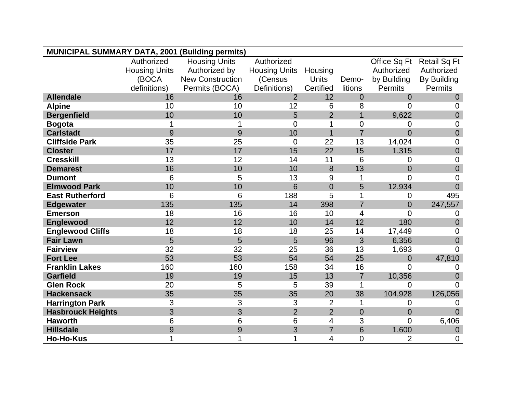| <b>MUNICIPAL SUMMARY DATA, 2001 (Building permits)</b> |                      |                         |                      |                          |                 |                |                     |
|--------------------------------------------------------|----------------------|-------------------------|----------------------|--------------------------|-----------------|----------------|---------------------|
|                                                        | Authorized           | <b>Housing Units</b>    | Authorized           |                          |                 | Office Sq Ft   | <b>Retail Sq Ft</b> |
|                                                        | <b>Housing Units</b> | Authorized by           | <b>Housing Units</b> | Housing                  |                 | Authorized     | Authorized          |
|                                                        | (BOCA                | <b>New Construction</b> | (Census              | Units                    | Demo-           | by Building    | By Building         |
|                                                        | definitions)         | Permits (BOCA)          | Definitions)         | Certified                | litions         | Permits        | Permits             |
| <b>Allendale</b>                                       | 16                   | 16                      | $\overline{2}$       | 12                       | $\overline{0}$  | $\overline{0}$ | $\overline{0}$      |
| <b>Alpine</b>                                          | 10                   | 10                      | 12                   | 6                        | 8               | $\overline{0}$ | 0                   |
| <b>Bergenfield</b>                                     | 10                   | 10                      | 5                    | $\overline{2}$           | $\mathbf{1}$    | 9,622          | $\overline{0}$      |
| <b>Bogota</b>                                          | 1                    |                         | $\Omega$             |                          | 0               | 0              | 0                   |
| <b>Carlstadt</b>                                       | 9                    | 9                       | 10                   | $\overline{1}$           | $\overline{7}$  | $\overline{0}$ | $\mathbf 0$         |
| <b>Cliffside Park</b>                                  | 35                   | 25                      | $\overline{0}$       | 22                       | 13              | 14,024         | $\mathbf 0$         |
| <b>Closter</b>                                         | 17                   | 17                      | 15                   | 22                       | 15              | 1,315          | $\mathbf 0$         |
| <b>Cresskill</b>                                       | 13                   | 12                      | 14                   | 11                       | 6               | 0              | $\mathbf 0$         |
| <b>Demarest</b>                                        | 16                   | 10                      | 10                   | 8                        | 13              | $\overline{0}$ | $\mathbf 0$         |
| <b>Dumont</b>                                          | 6                    | 5                       | 13                   | 9                        | 1               | $\overline{0}$ | $\overline{0}$      |
| <b>Elmwood Park</b>                                    | 10                   | 10                      | $6\phantom{1}6$      | $\overline{0}$           | 5               | 12,934         | $\overline{0}$      |
| <b>East Rutherford</b>                                 | 6                    | 6                       | 188                  | 5                        | 1               | 0              | 495                 |
| <b>Edgewater</b>                                       | 135                  | 135                     | 14                   | 398                      | $\overline{7}$  | $\overline{0}$ | 247,557             |
| <b>Emerson</b>                                         | 18                   | 16                      | 16                   | 10                       | 4               | 0              | 0                   |
| Englewood                                              | 12                   | 12                      | 10                   | 14                       | 12              | 180            | $\overline{0}$      |
| <b>Englewood Cliffs</b>                                | 18                   | 18                      | 18                   | 25                       | 14              | 17,449         | 0                   |
| <b>Fair Lawn</b>                                       | 5                    | 5                       | 5                    | 96                       | 3               | 6,356          | $\overline{0}$      |
| <b>Fairview</b>                                        | 32                   | 32                      | 25                   | 36                       | 13              | 1,693          | $\Omega$            |
| <b>Fort Lee</b>                                        | 53                   | 53                      | 54                   | 54                       | 25              | $\overline{0}$ | 47,810              |
| <b>Franklin Lakes</b>                                  | 160                  | 160                     | 158                  | 34                       | 16              | $\overline{0}$ | 0                   |
| <b>Garfield</b>                                        | 19                   | 19                      | 15                   | 13                       | $\overline{7}$  | 10,356         | $\overline{0}$      |
| <b>Glen Rock</b>                                       | 20                   | 5                       | 5                    | 39                       | 1               | 0              | $\Omega$            |
| <b>Hackensack</b>                                      | 35                   | 35                      | 35                   | 20                       | 38              | 104,928        | 126,056             |
| <b>Harrington Park</b>                                 | 3                    | 3                       | 3                    | $\overline{2}$           | 1               | 0              | 0                   |
| <b>Hasbrouck Heights</b>                               | 3                    | 3                       | $\overline{2}$       | $\overline{2}$           | $\overline{0}$  | $\overline{0}$ | $\Omega$            |
| <b>Haworth</b>                                         | 6                    | 6                       | $6\phantom{1}6$      | $\overline{\mathcal{A}}$ | 3               | $\overline{0}$ | 6,406               |
| <b>Hillsdale</b>                                       | 9                    | 9                       | 3                    | $\overline{7}$           | $6\phantom{1}6$ | 1,600          | $\mathbf 0$         |
| <b>Ho-Ho-Kus</b>                                       | 1                    |                         | 1                    | 4                        | 0               | $\overline{2}$ | $\mathbf 0$         |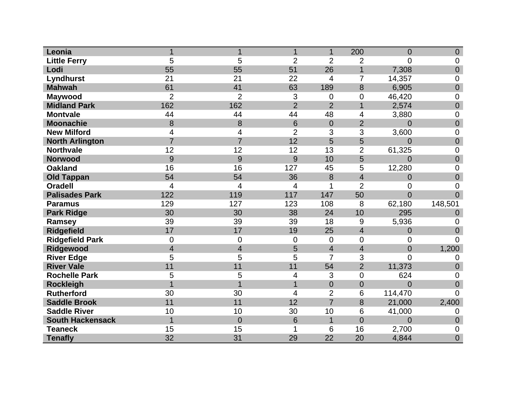| Leonia                  | 1              | 1              | 1               | $\mathbf{1}$   | 200            | $\overline{0}$ | $\overline{0}$ |
|-------------------------|----------------|----------------|-----------------|----------------|----------------|----------------|----------------|
| <b>Little Ferry</b>     | 5              | 5              | $\overline{2}$  | $\overline{2}$ | 2              | 0              | 0              |
| Lodi                    | 55             | 55             | 51              | 26             | $\overline{1}$ | 7,308          | $\overline{0}$ |
| Lyndhurst               | 21             | 21             | 22              | 4              | 7              | 14,357         | 0              |
| <b>Mahwah</b>           | 61             | 41             | 63              | 189            | 8              | 6,905          | $\mathbf 0$    |
| <b>Maywood</b>          | $\overline{2}$ | $\overline{2}$ | 3               | 0              | $\overline{0}$ | 46,420         | 0              |
| <b>Midland Park</b>     | 162            | 162            | $\overline{2}$  | $\overline{2}$ | $\overline{1}$ | 2,574          | $\overline{0}$ |
| <b>Montvale</b>         | 44             | 44             | 44              | 48             | 4              | 3,880          | 0              |
| <b>Moonachie</b>        | 8              | 8              | $6\phantom{1}6$ | $\overline{0}$ | $\overline{2}$ | $\overline{0}$ | $\mathbf 0$    |
| <b>New Milford</b>      | 4              | 4              | $\overline{2}$  | 3              | 3              | 3,600          | 0              |
| <b>North Arlington</b>  | $\overline{7}$ | $\overline{7}$ | 12              | 5              | 5              | $\overline{0}$ | $\overline{0}$ |
| <b>Northvale</b>        | 12             | 12             | 12              | 13             | $\overline{2}$ | 61,325         | 0              |
| <b>Norwood</b>          | 9              | 9              | 9               | 10             | 5              | $\overline{0}$ | $\overline{0}$ |
| <b>Oakland</b>          | 16             | 16             | 127             | 45             | 5              | 12,280         | 0              |
| <b>Old Tappan</b>       | 54             | 54             | 36              | 8              | $\overline{4}$ | 0              | $\mathbf 0$    |
| <b>Oradell</b>          | 4              | 4              | 4               | 1              | $\overline{2}$ | 0              | $\overline{0}$ |
| <b>Palisades Park</b>   | 122            | 119            | 117             | 147            | 50             | $\overline{0}$ | $\overline{0}$ |
| <b>Paramus</b>          | 129            | 127            | 123             | 108            | 8              | 62,180         | 148,501        |
| <b>Park Ridge</b>       | 30             | 30             | 38              | 24             | 10             | 295            | 0              |
| Ramsey                  | 39             | 39             | 39              | 18             | 9              | 5,936          | 0              |
| <b>Ridgefield</b>       | 17             | 17             | 19              | 25             | $\overline{4}$ | $\overline{0}$ | $\overline{0}$ |
| <b>Ridgefield Park</b>  | $\overline{0}$ | 0              | $\mathbf 0$     | $\overline{0}$ | $\overline{0}$ | 0              | $\Omega$       |
| Ridgewood               | $\overline{4}$ | $\overline{4}$ | 5               | $\overline{4}$ | 4              | $\overline{0}$ | 1,200          |
| <b>River Edge</b>       | 5              | 5              | 5               | $\overline{7}$ | 3              | 0              | 0              |
| <b>River Vale</b>       | 11             | 11             | 11              | 54             | $\overline{2}$ | 11,373         | $\overline{0}$ |
| <b>Rochelle Park</b>    | 5              | 5              | 4               | 3              | 0              | 624            | 0              |
| <b>Rockleigh</b>        |                |                | 1               | $\overline{0}$ | $\overline{0}$ | $\overline{0}$ | $\overline{0}$ |
| <b>Rutherford</b>       | 30             | 30             | 4               | $\overline{2}$ | 6              | 114,470        | 0              |
| <b>Saddle Brook</b>     | 11             | 11             | 12              | $\overline{7}$ | 8              | 21,000         | 2,400          |
| <b>Saddle River</b>     | 10             | 10             | 30              | 10             | 6              | 41,000         | 0              |
| <b>South Hackensack</b> | 1              | $\mathbf 0$    | 6               | $\overline{1}$ | $\overline{0}$ | $\overline{0}$ | $\overline{0}$ |
| <b>Teaneck</b>          | 15             | 15             |                 | 6              | 16             | 2,700          | 0              |
| <b>Tenafly</b>          | 32             | 31             | 29              | 22             | 20             | 4,844          | $\overline{0}$ |